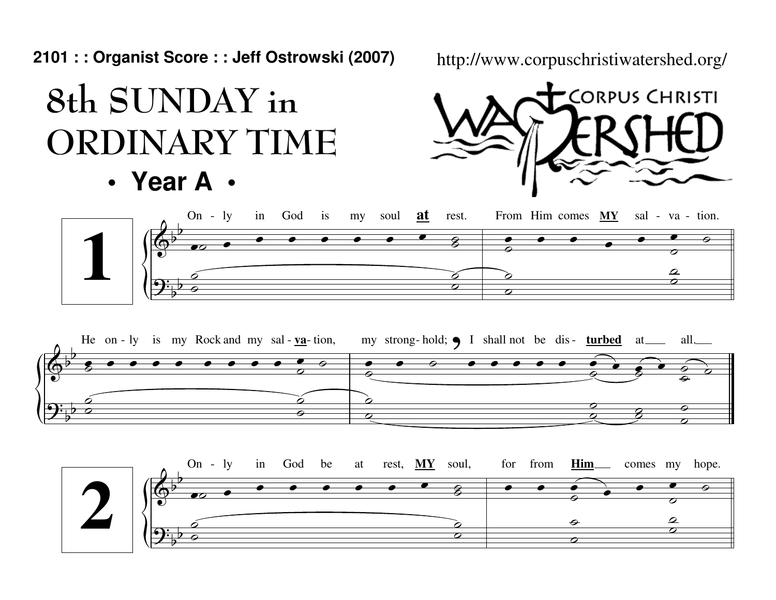**2101 : : Organist Score : : Jeff Ostrowski (2007)**

## 8th SUNDAY inORDINARY TIME

**• Year A •**

http://www.corpuschristiwatershed.org/